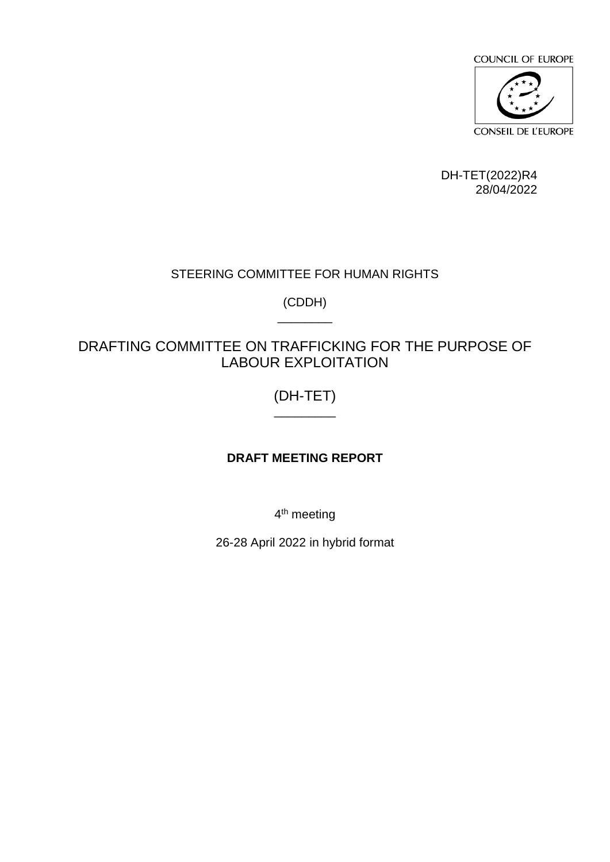

DH-TET(2022)R4 28/04/2022

# STEERING COMMITTEE FOR HUMAN RIGHTS

(CDDH) \_\_\_\_\_\_\_\_

# DRAFTING COMMITTEE ON TRAFFICKING FOR THE PURPOSE OF LABOUR EXPLOITATION

# (DH-TET)  $\overline{\phantom{a}}$

# **DRAFT MEETING REPORT**

4<sup>th</sup> meeting

26-28 April 2022 in hybrid format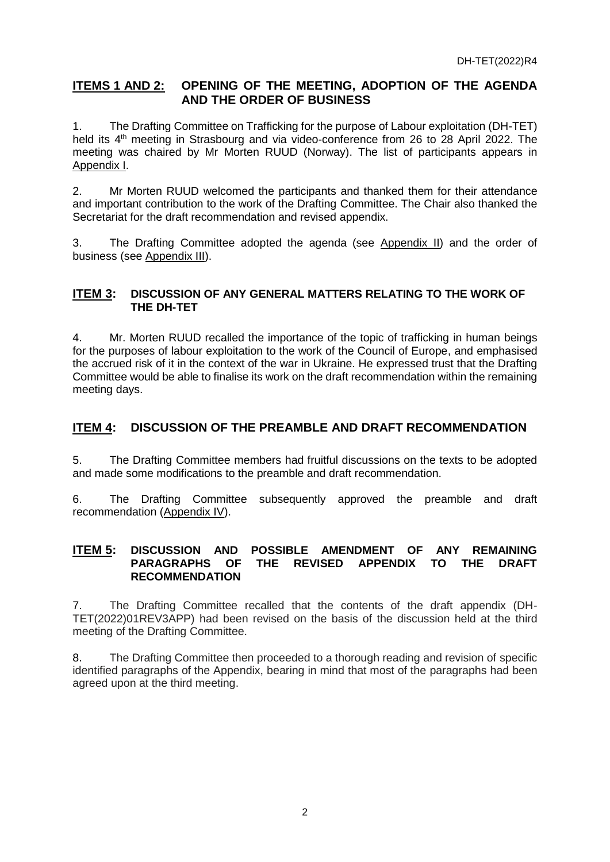# **ITEMS 1 AND 2: OPENING OF THE MEETING, ADOPTION OF THE AGENDA AND THE ORDER OF BUSINESS**

1. The Drafting Committee on Trafficking for the purpose of Labour exploitation (DH-TET) held its 4<sup>th</sup> meeting in Strasbourg and via video-conference from 26 to 28 April 2022. The meeting was chaired by Mr Morten RUUD (Norway). The list of participants appears in Appendix I.

2. Mr Morten RUUD welcomed the participants and thanked them for their attendance and important contribution to the work of the Drafting Committee. The Chair also thanked the Secretariat for the draft recommendation and revised appendix.

3. The Drafting Committee adopted the agenda (see Appendix II) and the order of business (see Appendix III).

# **ITEM 3: DISCUSSION OF ANY GENERAL MATTERS RELATING TO THE WORK OF THE DH-TET**

4. Mr. Morten RUUD recalled the importance of the topic of trafficking in human beings for the purposes of labour exploitation to the work of the Council of Europe, and emphasised the accrued risk of it in the context of the war in Ukraine. He expressed trust that the Drafting Committee would be able to finalise its work on the draft recommendation within the remaining meeting days.

# **ITEM 4: DISCUSSION OF THE PREAMBLE AND DRAFT RECOMMENDATION**

5. The Drafting Committee members had fruitful discussions on the texts to be adopted and made some modifications to the preamble and draft recommendation.

6. The Drafting Committee subsequently approved the preamble and draft recommendation (Appendix IV).

## **ITEM 5: DISCUSSION AND POSSIBLE AMENDMENT OF ANY REMAINING PARAGRAPHS OF THE REVISED APPENDIX TO THE DRAFT RECOMMENDATION**

7. The Drafting Committee recalled that the contents of the draft appendix (DH-TET(2022)01REV3APP) had been revised on the basis of the discussion held at the third meeting of the Drafting Committee.

8. The Drafting Committee then proceeded to a thorough reading and revision of specific identified paragraphs of the Appendix, bearing in mind that most of the paragraphs had been agreed upon at the third meeting.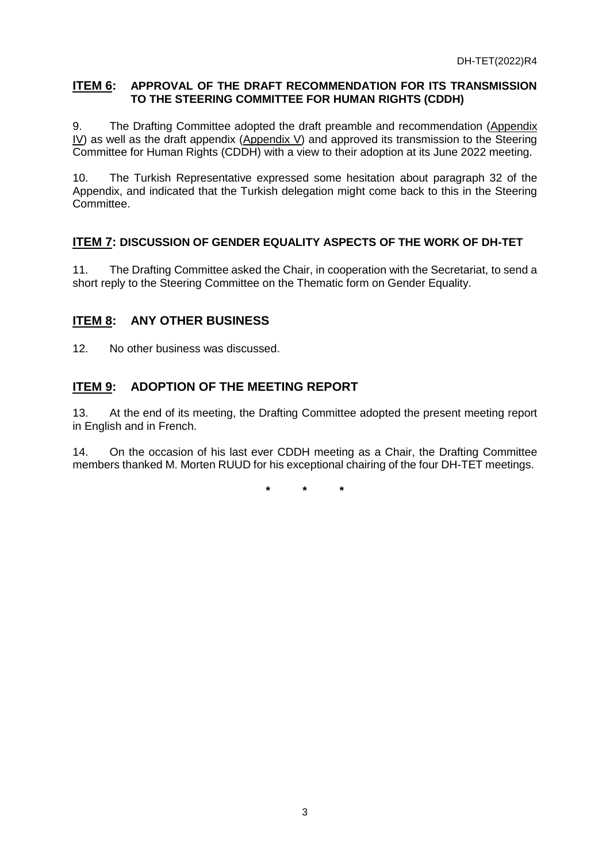# **ITEM 6: APPROVAL OF THE DRAFT RECOMMENDATION FOR ITS TRANSMISSION TO THE STEERING COMMITTEE FOR HUMAN RIGHTS (CDDH)**

9. The Drafting Committee adopted the draft preamble and recommendation (Appendix  $\underline{IV}$  as well as the draft appendix (Appendix V) and approved its transmission to the Steering Committee for Human Rights (CDDH) with a view to their adoption at its June 2022 meeting.

10. The Turkish Representative expressed some hesitation about paragraph 32 of the Appendix, and indicated that the Turkish delegation might come back to this in the Steering Committee.

# **ITEM 7: DISCUSSION OF GENDER EQUALITY ASPECTS OF THE WORK OF DH-TET**

11. The Drafting Committee asked the Chair, in cooperation with the Secretariat, to send a short reply to the Steering Committee on the Thematic form on Gender Equality.

# **ITEM 8: ANY OTHER BUSINESS**

12. No other business was discussed.

# **ITEM 9: ADOPTION OF THE MEETING REPORT**

13. At the end of its meeting, the Drafting Committee adopted the present meeting report in English and in French.

14. On the occasion of his last ever CDDH meeting as a Chair, the Drafting Committee members thanked M. Morten RUUD for his exceptional chairing of the four DH-TET meetings.

**\* \* \***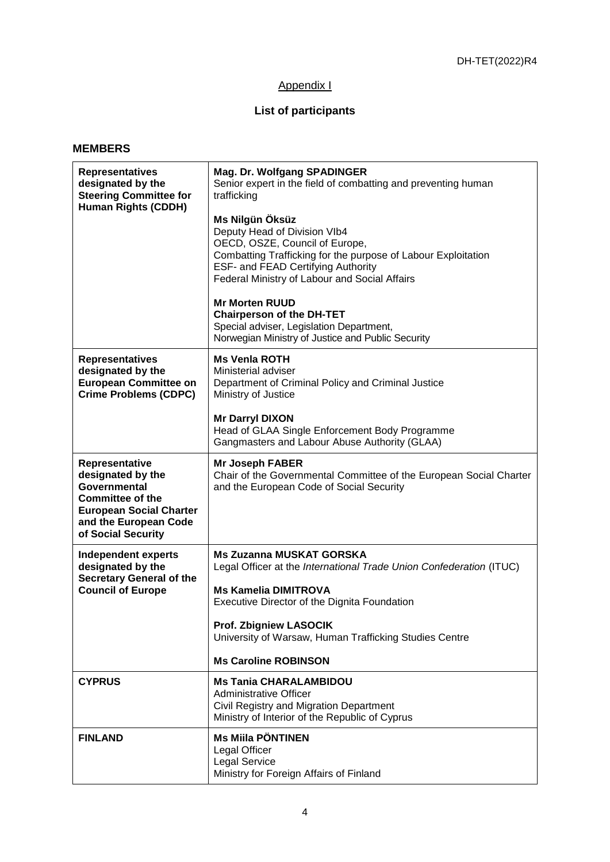# Appendix I

# **List of participants**

## **MEMBERS**

| <b>Representatives</b><br>designated by the<br><b>Steering Committee for</b><br><b>Human Rights (CDDH)</b>                                                             | Mag. Dr. Wolfgang SPADINGER<br>Senior expert in the field of combatting and preventing human<br>trafficking<br>Ms Nilgün Öksüz<br>Deputy Head of Division VIb4<br>OECD, OSZE, Council of Europe,<br>Combatting Trafficking for the purpose of Labour Exploitation<br><b>ESF- and FEAD Certifying Authority</b><br>Federal Ministry of Labour and Social Affairs<br><b>Mr Morten RUUD</b> |  |
|------------------------------------------------------------------------------------------------------------------------------------------------------------------------|------------------------------------------------------------------------------------------------------------------------------------------------------------------------------------------------------------------------------------------------------------------------------------------------------------------------------------------------------------------------------------------|--|
|                                                                                                                                                                        | <b>Chairperson of the DH-TET</b><br>Special adviser, Legislation Department,<br>Norwegian Ministry of Justice and Public Security                                                                                                                                                                                                                                                        |  |
| <b>Representatives</b><br>designated by the<br><b>European Committee on</b><br><b>Crime Problems (CDPC)</b>                                                            | <b>Ms Venia ROTH</b><br>Ministerial adviser<br>Department of Criminal Policy and Criminal Justice<br>Ministry of Justice                                                                                                                                                                                                                                                                 |  |
|                                                                                                                                                                        | <b>Mr Darryl DIXON</b><br>Head of GLAA Single Enforcement Body Programme<br>Gangmasters and Labour Abuse Authority (GLAA)                                                                                                                                                                                                                                                                |  |
| Representative<br>designated by the<br><b>Governmental</b><br><b>Committee of the</b><br><b>European Social Charter</b><br>and the European Code<br>of Social Security | <b>Mr Joseph FABER</b><br>Chair of the Governmental Committee of the European Social Charter<br>and the European Code of Social Security                                                                                                                                                                                                                                                 |  |
| <b>Independent experts</b><br>designated by the<br><b>Secretary General of the</b><br><b>Council of Europe</b>                                                         | <b>Ms Zuzanna MUSKAT GORSKA</b><br>Legal Officer at the International Trade Union Confederation (ITUC)<br><b>Ms Kamelia DIMITROVA</b><br>Executive Director of the Dignita Foundation<br><b>Prof. Zbigniew LASOCIK</b><br>University of Warsaw, Human Trafficking Studies Centre                                                                                                         |  |
|                                                                                                                                                                        | <b>Ms Caroline ROBINSON</b>                                                                                                                                                                                                                                                                                                                                                              |  |
| <b>CYPRUS</b>                                                                                                                                                          | <b>Ms Tania CHARALAMBIDOU</b><br><b>Administrative Officer</b><br>Civil Registry and Migration Department<br>Ministry of Interior of the Republic of Cyprus                                                                                                                                                                                                                              |  |
| <b>FINLAND</b>                                                                                                                                                         | <b>Ms Miila PÖNTINEN</b><br><b>Legal Officer</b><br><b>Legal Service</b><br>Ministry for Foreign Affairs of Finland                                                                                                                                                                                                                                                                      |  |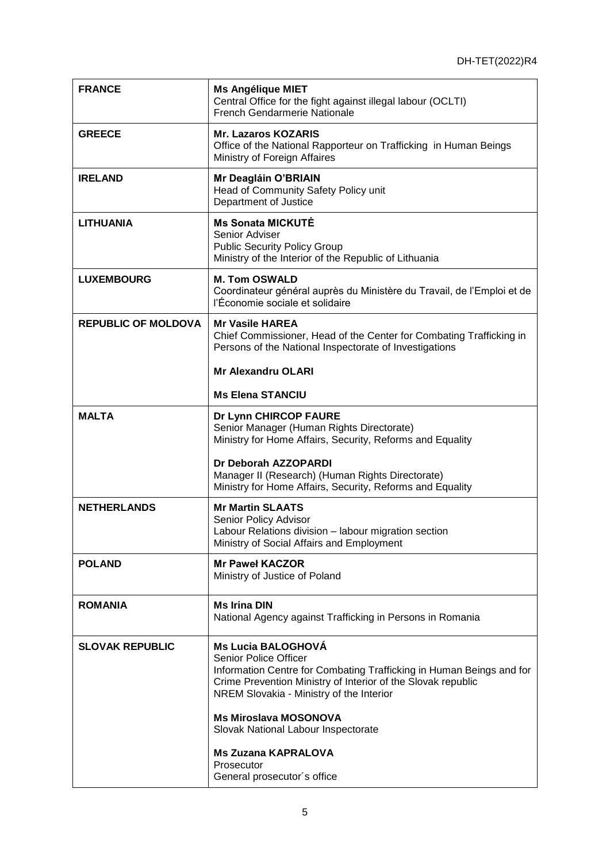| <b>FRANCE</b>              | <b>Ms Angélique MIET</b><br>Central Office for the fight against illegal labour (OCLTI)<br>French Gendarmerie Nationale                                                                                                                                                       |
|----------------------------|-------------------------------------------------------------------------------------------------------------------------------------------------------------------------------------------------------------------------------------------------------------------------------|
| <b>GREECE</b>              | <b>Mr. Lazaros KOZARIS</b><br>Office of the National Rapporteur on Trafficking in Human Beings<br>Ministry of Foreign Affaires                                                                                                                                                |
| <b>IRELAND</b>             | Mr Deagláin O'BRIAIN<br>Head of Community Safety Policy unit<br>Department of Justice                                                                                                                                                                                         |
| <b>LITHUANIA</b>           | <b>Ms Sonata MICKUTE</b><br>Senior Adviser<br><b>Public Security Policy Group</b><br>Ministry of the Interior of the Republic of Lithuania                                                                                                                                    |
| <b>LUXEMBOURG</b>          | <b>M. Tom OSWALD</b><br>Coordinateur général auprès du Ministère du Travail, de l'Emploi et de<br>l'Économie sociale et solidaire                                                                                                                                             |
| <b>REPUBLIC OF MOLDOVA</b> | <b>Mr Vasile HAREA</b><br>Chief Commissioner, Head of the Center for Combating Trafficking in<br>Persons of the National Inspectorate of Investigations                                                                                                                       |
|                            | <b>Mr Alexandru OLARI</b>                                                                                                                                                                                                                                                     |
|                            | <b>Ms Elena STANCIU</b>                                                                                                                                                                                                                                                       |
| <b>MALTA</b>               | Dr Lynn CHIRCOP FAURE<br>Senior Manager (Human Rights Directorate)<br>Ministry for Home Affairs, Security, Reforms and Equality<br>Dr Deborah AZZOPARDI                                                                                                                       |
|                            | Manager II (Research) (Human Rights Directorate)<br>Ministry for Home Affairs, Security, Reforms and Equality                                                                                                                                                                 |
| <b>NETHERLANDS</b>         | <b>Mr Martin SLAATS</b><br>Senior Policy Advisor<br>Labour Relations division - labour migration section<br>Ministry of Social Affairs and Employment                                                                                                                         |
| <b>POLAND</b>              | <b>Mr Pawel KACZOR</b><br>Ministry of Justice of Poland                                                                                                                                                                                                                       |
| <b>ROMANIA</b>             | <b>Ms Irina DIN</b><br>National Agency against Trafficking in Persons in Romania                                                                                                                                                                                              |
| <b>SLOVAK REPUBLIC</b>     | <b>Ms Lucia BALOGHOVÁ</b><br><b>Senior Police Officer</b><br>Information Centre for Combating Trafficking in Human Beings and for<br>Crime Prevention Ministry of Interior of the Slovak republic<br>NREM Slovakia - Ministry of the Interior<br><b>Ms Miroslava MOSONOVA</b> |
|                            | Slovak National Labour Inspectorate                                                                                                                                                                                                                                           |
|                            | <b>Ms Zuzana KAPRALOVA</b><br>Prosecutor<br>General prosecutor's office                                                                                                                                                                                                       |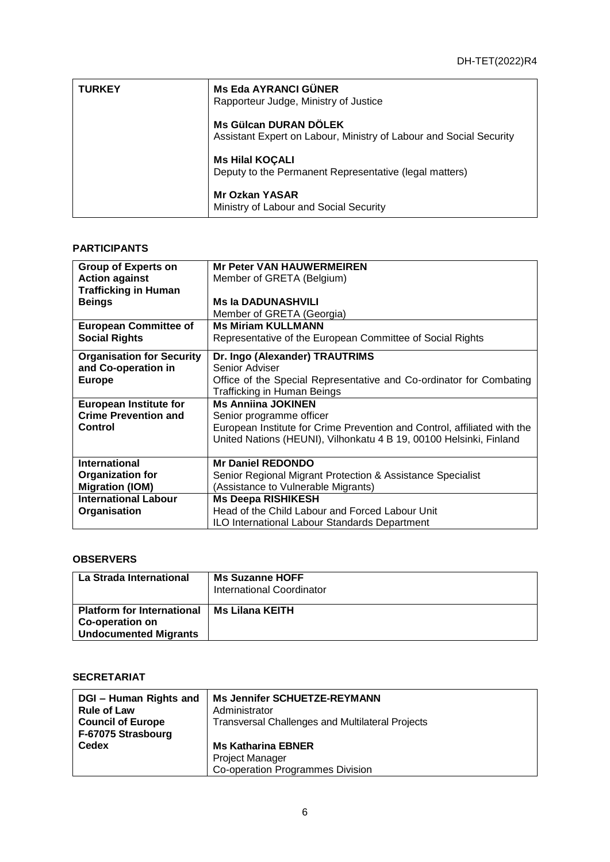| <b>TURKEY</b> | <b>Ms Eda AYRANCI GÜNER</b><br>Rapporteur Judge, Ministry of Justice                               |
|---------------|----------------------------------------------------------------------------------------------------|
|               | <b>Ms Gülcan DURAN DÖLEK</b><br>Assistant Expert on Labour, Ministry of Labour and Social Security |
|               | <b>Ms Hilal KOÇALI</b><br>Deputy to the Permanent Representative (legal matters)                   |
|               | <b>Mr Ozkan YASAR</b><br>Ministry of Labour and Social Security                                    |

#### **PARTICIPANTS**

| <b>Group of Experts on</b>       | <b>Mr Peter VAN HAUWERMEIREN</b>                                         |  |
|----------------------------------|--------------------------------------------------------------------------|--|
| <b>Action against</b>            | Member of GRETA (Belgium)                                                |  |
| <b>Trafficking in Human</b>      |                                                                          |  |
| <b>Beings</b>                    | <b>Ms la DADUNASHVILI</b>                                                |  |
|                                  | Member of GRETA (Georgia)                                                |  |
| <b>European Committee of</b>     | <b>Ms Miriam KULLMANN</b>                                                |  |
| <b>Social Rights</b>             | Representative of the European Committee of Social Rights                |  |
| <b>Organisation for Security</b> | Dr. Ingo (Alexander) TRAUTRIMS                                           |  |
| and Co-operation in              | Senior Adviser                                                           |  |
| <b>Europe</b>                    | Office of the Special Representative and Co-ordinator for Combating      |  |
|                                  | Trafficking in Human Beings                                              |  |
| <b>European Institute for</b>    | <b>Ms Anniina JOKINEN</b>                                                |  |
| <b>Crime Prevention and</b>      | Senior programme officer                                                 |  |
| Control                          | European Institute for Crime Prevention and Control, affiliated with the |  |
|                                  | United Nations (HEUNI), Vilhonkatu 4 B 19, 00100 Helsinki, Finland       |  |
|                                  |                                                                          |  |
| <b>International</b>             | <b>Mr Daniel REDONDO</b>                                                 |  |
| <b>Organization for</b>          | Senior Regional Migrant Protection & Assistance Specialist               |  |
| <b>Migration (IOM)</b>           | (Assistance to Vulnerable Migrants)                                      |  |
| <b>International Labour</b>      | <b>Ms Deepa RISHIKESH</b>                                                |  |
| Organisation                     | Head of the Child Labour and Forced Labour Unit                          |  |
|                                  | <b>ILO International Labour Standards Department</b>                     |  |

# **OBSERVERS**

| La Strada International                                                              | <b>Ms Suzanne HOFF</b><br>International Coordinator |
|--------------------------------------------------------------------------------------|-----------------------------------------------------|
| <b>Platform for International</b><br>Co-operation on<br><b>Undocumented Migrants</b> | Ms Lilana KEITH                                     |

# **SECRETARIAT**

| DGI - Human Rights and<br><b>Rule of Law</b><br><b>Council of Europe</b><br>F-67075 Strasbourg | <b>Ms Jennifer SCHUETZE-REYMANN</b><br>Administrator<br><b>Transversal Challenges and Multilateral Projects</b> |
|------------------------------------------------------------------------------------------------|-----------------------------------------------------------------------------------------------------------------|
| <b>Cedex</b>                                                                                   | <b>Ms Katharina EBNER</b>                                                                                       |
|                                                                                                | <b>Project Manager</b>                                                                                          |
|                                                                                                | Co-operation Programmes Division                                                                                |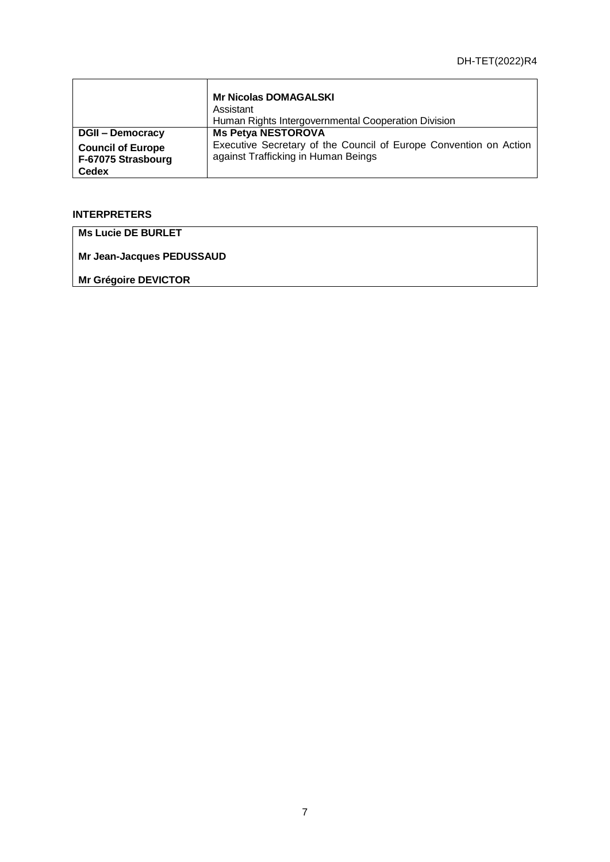|                                                                | <b>Mr Nicolas DOMAGALSKI</b><br>Assistant<br>Human Rights Intergovernmental Cooperation Division         |
|----------------------------------------------------------------|----------------------------------------------------------------------------------------------------------|
| <b>DGII - Democracy</b>                                        | <b>Ms Petya NESTOROVA</b>                                                                                |
| <b>Council of Europe</b><br>F-67075 Strasbourg<br><b>Cedex</b> | Executive Secretary of the Council of Europe Convention on Action<br>against Trafficking in Human Beings |

# **INTERPRETERS**

**Ms Lucie DE BURLET** 

**Mr Jean-Jacques PEDUSSAUD** 

**Mr Grégoire DEVICTOR**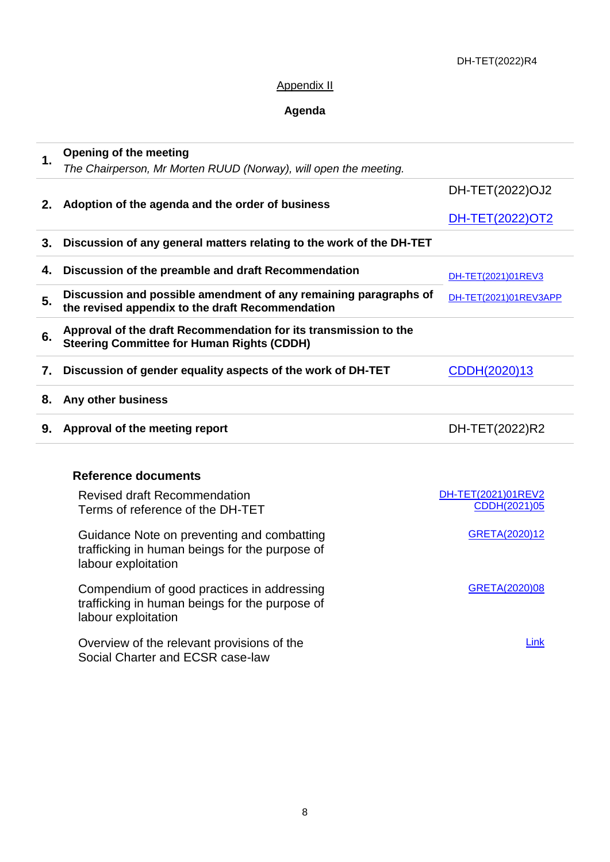# Appendix II

# **Agenda**

| 1. | <b>Opening of the meeting</b><br>The Chairperson, Mr Morten RUUD (Norway), will open the meeting.                     |                                    |
|----|-----------------------------------------------------------------------------------------------------------------------|------------------------------------|
|    |                                                                                                                       | DH-TET(2022)OJ2                    |
| 2. | Adoption of the agenda and the order of business                                                                      | DH-TET(2022)OT2                    |
| 3. | Discussion of any general matters relating to the work of the DH-TET                                                  |                                    |
| 4. | Discussion of the preamble and draft Recommendation                                                                   | DH-TET(2021)01REV3                 |
| 5. | Discussion and possible amendment of any remaining paragraphs of<br>the revised appendix to the draft Recommendation  | DH-TET(2021)01REV3APP              |
| 6. | Approval of the draft Recommendation for its transmission to the<br><b>Steering Committee for Human Rights (CDDH)</b> |                                    |
| 7. | Discussion of gender equality aspects of the work of DH-TET                                                           | CDDH(2020)13                       |
| 8. | Any other business                                                                                                    |                                    |
| 9. | Approval of the meeting report                                                                                        | DH-TET(2022)R2                     |
|    | <b>Reference documents</b>                                                                                            |                                    |
|    | <b>Revised draft Recommendation</b><br>Terms of reference of the DH-TET                                               | DH-TET(2021)01REV2<br>CDDH(2021)05 |
|    | Guidance Note on preventing and combatting<br>trafficking in human beings for the purpose of<br>labour exploitation   | GRETA(2020)12                      |
|    | Compendium of good practices in addressing<br>trafficking in human beings for the purpose of<br>labour exploitation   | GRETA(2020)08                      |
|    | Overview of the relevant provisions of the<br>Social Charter and ECSR case-law                                        | Link                               |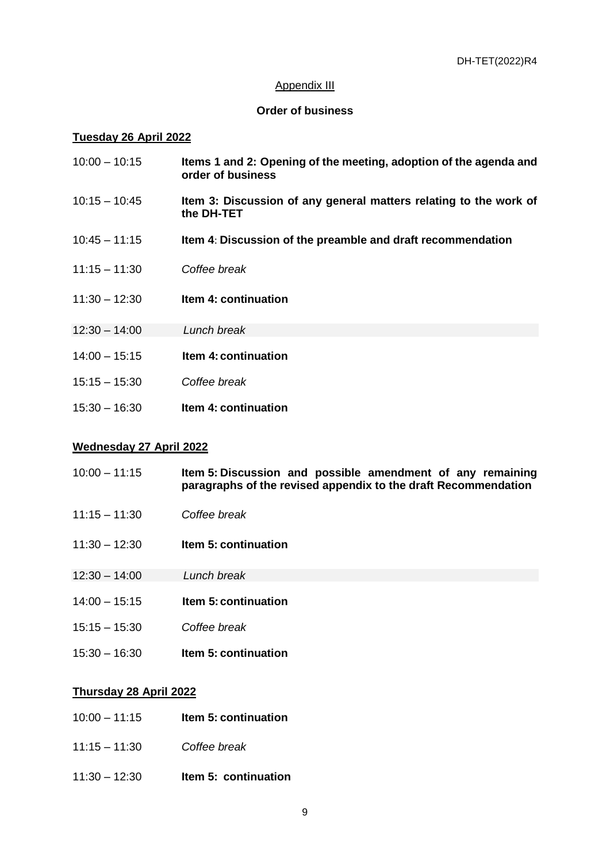#### Appendix III

#### **Order of business**

#### **Tuesday 26 April 2022**

| $10:00 - 10:15$ | Items 1 and 2: Opening of the meeting, adoption of the agenda and<br>order of business |
|-----------------|----------------------------------------------------------------------------------------|
| $10:15 - 10:45$ | Item 3: Discussion of any general matters relating to the work of<br>the DH-TET        |

- 10:45 11:15 **Item 4**: **Discussion of the preamble and draft recommendation**
- 11:15 11:30 *Coffee break*
- 11:30 12:30 **Item 4: continuation**
- 12:30 14:00 *Lunch break*
- 14:00 15:15 **Item 4: continuation**
- 15:15 15:30 *Coffee break*
- 15:30 16:30 **Item 4: continuation**

#### **Wednesday 27 April 2022**

- 10:00 11:15 **Item 5: Discussion and possible amendment of any remaining paragraphs of the revised appendix to the draft Recommendation**
- 11:15 11:30 *Coffee break*
- 11:30 12:30 **Item 5: continuation**
- 12:30 14:00 *Lunch break*
- 14:00 15:15 **Item 5: continuation**
- 15:15 15:30 *Coffee break*
- 15:30 16:30 **Item 5: continuation**

#### **Thursday 28 April 2022**

- 10:00 11:15 **Item 5: continuation**
- 11:15 11:30 *Coffee break*
- 11:30 12:30 **Item 5: continuation**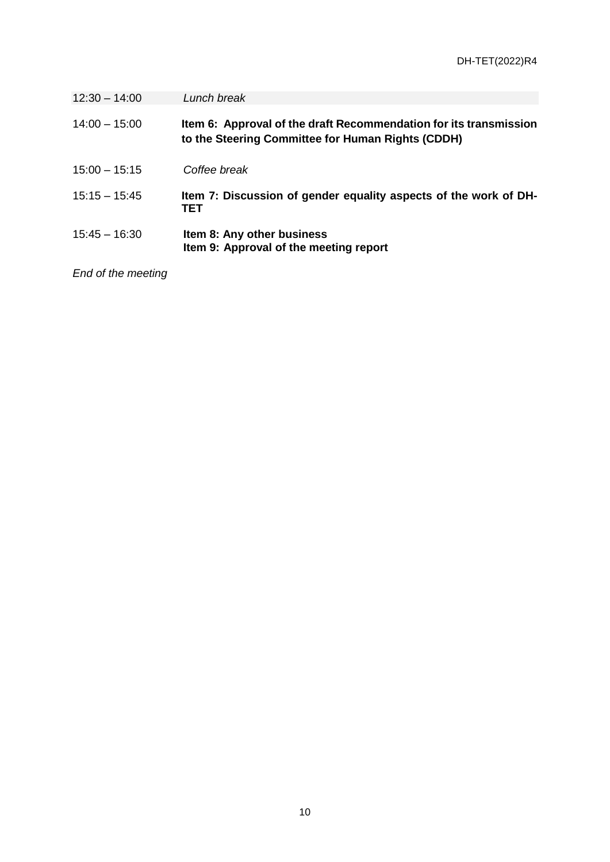| $12:30 - 14:00$ | Lunch break                                                                                                            |
|-----------------|------------------------------------------------------------------------------------------------------------------------|
| $14:00 - 15:00$ | Item 6: Approval of the draft Recommendation for its transmission<br>to the Steering Committee for Human Rights (CDDH) |
| $15:00 - 15:15$ | Coffee break                                                                                                           |
| $15:15 - 15:45$ | Item 7: Discussion of gender equality aspects of the work of DH-<br>TET                                                |
| $15:45 - 16:30$ | Item 8: Any other business<br>Item 9: Approval of the meeting report                                                   |

*End of the meeting*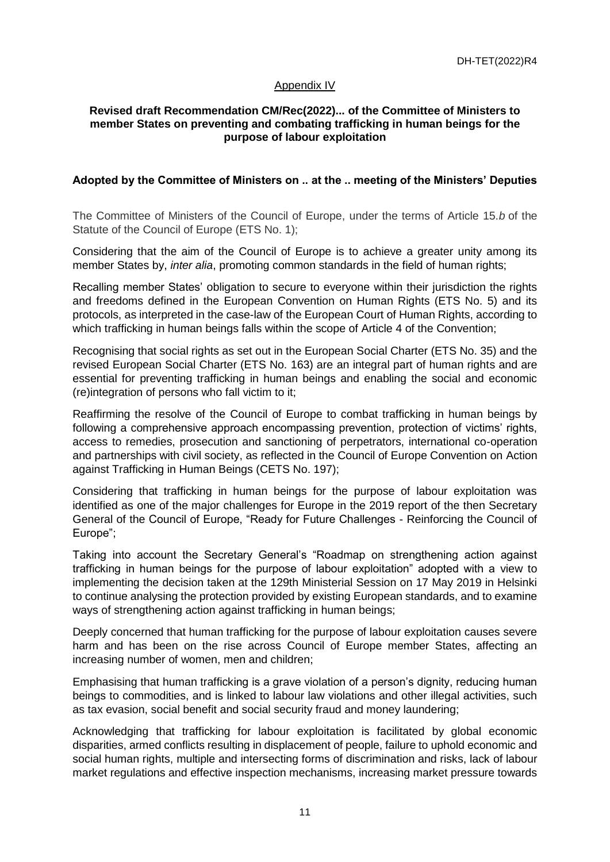## Appendix IV

## **Revised draft Recommendation CM/Rec(2022)... of the Committee of Ministers to member States on preventing and combating trafficking in human beings for the purpose of labour exploitation**

## **Adopted by the Committee of Ministers on .. at the .. meeting of the Ministers' Deputies**

The Committee of Ministers of the Council of Europe, under the terms of Article 15.*b* of the Statute of the Council of Europe (ETS No. 1);

Considering that the aim of the Council of Europe is to achieve a greater unity among its member States by, *inter alia*, promoting common standards in the field of human rights;

Recalling member States' obligation to secure to everyone within their jurisdiction the rights and freedoms defined in the European Convention on Human Rights (ETS No. 5) and its protocols, as interpreted in the case-law of the European Court of Human Rights, according to which trafficking in human beings falls within the scope of Article 4 of the Convention;

Recognising that social rights as set out in the European Social Charter (ETS No. 35) and the revised European Social Charter (ETS No. 163) are an integral part of human rights and are essential for preventing trafficking in human beings and enabling the social and economic (re)integration of persons who fall victim to it;

Reaffirming the resolve of the Council of Europe to combat trafficking in human beings by following a comprehensive approach encompassing prevention, protection of victims' rights, access to remedies, prosecution and sanctioning of perpetrators, international co-operation and partnerships with civil society, as reflected in the Council of Europe Convention on Action against Trafficking in Human Beings (CETS No. 197);

Considering that trafficking in human beings for the purpose of labour exploitation was identified as one of the major challenges for Europe in the 2019 report of the then Secretary General of the Council of Europe, "Ready for Future Challenges - Reinforcing the Council of Europe";

Taking into account the Secretary General's "Roadmap on strengthening action against trafficking in human beings for the purpose of labour exploitation" adopted with a view to implementing the decision taken at the 129th Ministerial Session on 17 May 2019 in Helsinki to continue analysing the protection provided by existing European standards, and to examine ways of strengthening action against trafficking in human beings;

Deeply concerned that human trafficking for the purpose of labour exploitation causes severe harm and has been on the rise across Council of Europe member States, affecting an increasing number of women, men and children;

Emphasising that human trafficking is a grave violation of a person's dignity, reducing human beings to commodities, and is linked to labour law violations and other illegal activities, such as tax evasion, social benefit and social security fraud and money laundering;

Acknowledging that trafficking for labour exploitation is facilitated by global economic disparities, armed conflicts resulting in displacement of people, failure to uphold economic and social human rights, multiple and intersecting forms of discrimination and risks, lack of labour market regulations and effective inspection mechanisms, increasing market pressure towards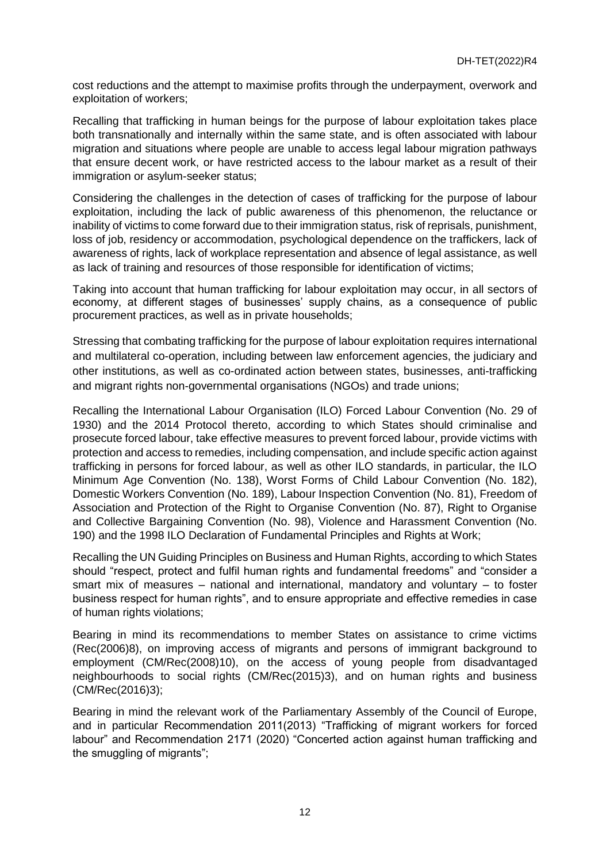cost reductions and the attempt to maximise profits through the underpayment, overwork and exploitation of workers;

Recalling that trafficking in human beings for the purpose of labour exploitation takes place both transnationally and internally within the same state, and is often associated with labour migration and situations where people are unable to access legal labour migration pathways that ensure decent work, or have restricted access to the labour market as a result of their immigration or asylum-seeker status;

Considering the challenges in the detection of cases of trafficking for the purpose of labour exploitation, including the lack of public awareness of this phenomenon, the reluctance or inability of victims to come forward due to their immigration status, risk of reprisals, punishment, loss of job, residency or accommodation, psychological dependence on the traffickers, lack of awareness of rights, lack of workplace representation and absence of legal assistance, as well as lack of training and resources of those responsible for identification of victims;

Taking into account that human trafficking for labour exploitation may occur, in all sectors of economy, at different stages of businesses' supply chains, as a consequence of public procurement practices, as well as in private households;

Stressing that combating trafficking for the purpose of labour exploitation requires international and multilateral co-operation, including between law enforcement agencies, the judiciary and other institutions, as well as co-ordinated action between states, businesses, anti-trafficking and migrant rights non-governmental organisations (NGOs) and trade unions;

Recalling the International Labour Organisation (ILO) Forced Labour Convention (No. 29 of 1930) and the 2014 Protocol thereto, according to which States should criminalise and prosecute forced labour, take effective measures to prevent forced labour, provide victims with protection and access to remedies, including compensation, and include specific action against trafficking in persons for forced labour, as well as other ILO standards, in particular, the ILO Minimum Age Convention (No. 138), Worst Forms of Child Labour Convention (No. 182), Domestic Workers Convention (No. 189), Labour Inspection Convention (No. 81), Freedom of Association and Protection of the Right to Organise Convention (No. 87), Right to Organise and Collective Bargaining Convention (No. 98), Violence and Harassment Convention (No. 190) and the 1998 ILO Declaration of Fundamental Principles and Rights at Work;

Recalling the UN Guiding Principles on Business and Human Rights, according to which States should "respect, protect and fulfil human rights and fundamental freedoms" and "consider a smart mix of measures – national and international, mandatory and voluntary – to foster business respect for human rights", and to ensure appropriate and effective remedies in case of human rights violations;

Bearing in mind its recommendations to member States on assistance to crime victims (Rec(2006)8), on improving access of migrants and persons of immigrant background to employment (CM/Rec(2008)10), on the access of young people from disadvantaged neighbourhoods to social rights (CM/Rec(2015)3), and on human rights and business (CM/Rec(2016)3);

Bearing in mind the relevant work of the Parliamentary Assembly of the Council of Europe, and in particular Recommendation 2011(2013) "Trafficking of migrant workers for forced labour" and Recommendation 2171 (2020) "Concerted action against human trafficking and the smuggling of migrants";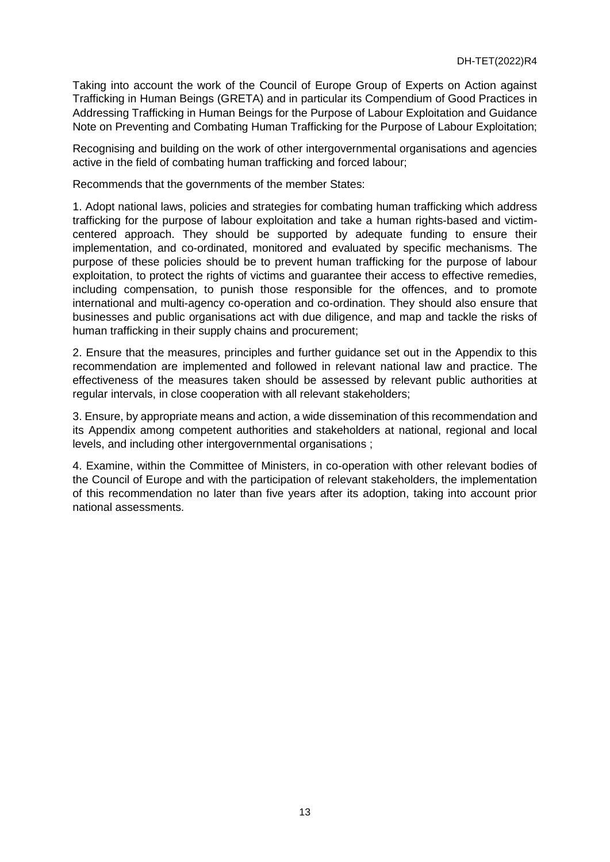Taking into account the work of the Council of Europe Group of Experts on Action against Trafficking in Human Beings (GRETA) and in particular its Compendium of Good Practices in Addressing Trafficking in Human Beings for the Purpose of Labour Exploitation and Guidance Note on Preventing and Combating Human Trafficking for the Purpose of Labour Exploitation;

Recognising and building on the work of other intergovernmental organisations and agencies active in the field of combating human trafficking and forced labour;

Recommends that the governments of the member States:

1. Adopt national laws, policies and strategies for combating human trafficking which address trafficking for the purpose of labour exploitation and take a human rights-based and victimcentered approach. They should be supported by adequate funding to ensure their implementation, and co-ordinated, monitored and evaluated by specific mechanisms. The purpose of these policies should be to prevent human trafficking for the purpose of labour exploitation, to protect the rights of victims and guarantee their access to effective remedies, including compensation, to punish those responsible for the offences, and to promote international and multi-agency co-operation and co-ordination. They should also ensure that businesses and public organisations act with due diligence, and map and tackle the risks of human trafficking in their supply chains and procurement;

2. Ensure that the measures, principles and further guidance set out in the Appendix to this recommendation are implemented and followed in relevant national law and practice. The effectiveness of the measures taken should be assessed by relevant public authorities at regular intervals, in close cooperation with all relevant stakeholders;

3. Ensure, by appropriate means and action, a wide dissemination of this recommendation and its Appendix among competent authorities and stakeholders at national, regional and local levels, and including other intergovernmental organisations ;

4. Examine, within the Committee of Ministers, in co-operation with other relevant bodies of the Council of Europe and with the participation of relevant stakeholders, the implementation of this recommendation no later than five years after its adoption, taking into account prior national assessments.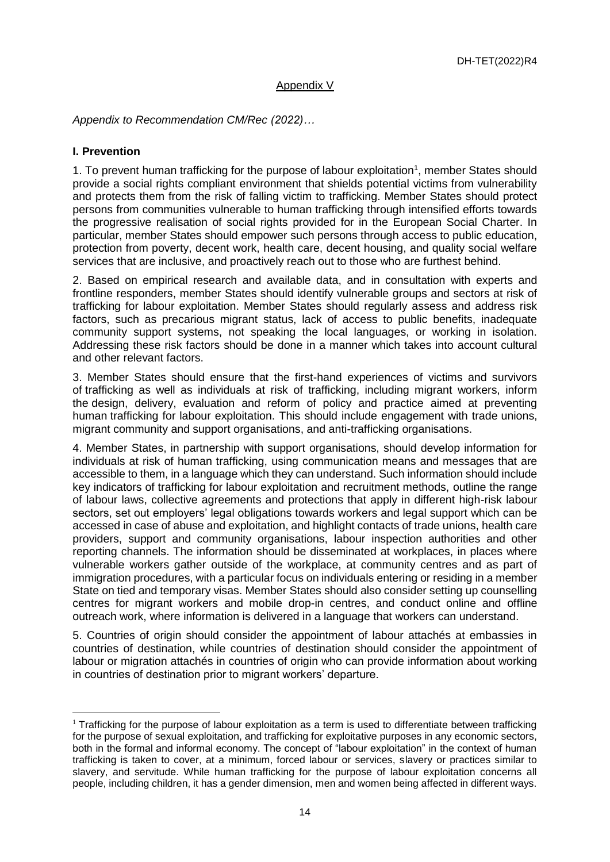#### Appendix V

*Appendix to Recommendation CM/Rec (2022)…*

#### **I. Prevention**

 $\overline{a}$ 

1. To prevent human trafficking for the purpose of labour exploitation<sup>1</sup>, member States should provide a social rights compliant environment that shields potential victims from vulnerability and protects them from the risk of falling victim to trafficking. Member States should protect persons from communities vulnerable to human trafficking through intensified efforts towards the progressive realisation of social rights provided for in the European Social Charter. In particular, member States should empower such persons through access to public education, protection from poverty, decent work, health care, decent housing, and quality social welfare services that are inclusive, and proactively reach out to those who are furthest behind.

2. Based on empirical research and available data, and in consultation with experts and frontline responders, member States should identify vulnerable groups and sectors at risk of trafficking for labour exploitation. Member States should regularly assess and address risk factors, such as precarious migrant status, lack of access to public benefits, inadequate community support systems, not speaking the local languages, or working in isolation. Addressing these risk factors should be done in a manner which takes into account cultural and other relevant factors.

3. Member States should ensure that the first-hand experiences of victims and survivors of trafficking as well as individuals at risk of trafficking, including migrant workers, inform the design, delivery, evaluation and reform of policy and practice aimed at preventing human trafficking for labour exploitation. This should include engagement with trade unions, migrant community and support organisations, and anti-trafficking organisations.

4. Member States, in partnership with support organisations, should develop information for individuals at risk of human trafficking, using communication means and messages that are accessible to them, in a language which they can understand. Such information should include key indicators of trafficking for labour exploitation and recruitment methods, outline the range of labour laws, collective agreements and protections that apply in different high-risk labour sectors, set out employers' legal obligations towards workers and legal support which can be accessed in case of abuse and exploitation, and highlight contacts of trade unions, health care providers, support and community organisations, labour inspection authorities and other reporting channels. The information should be disseminated at workplaces, in places where vulnerable workers gather outside of the workplace, at community centres and as part of immigration procedures, with a particular focus on individuals entering or residing in a member State on tied and temporary visas. Member States should also consider setting up counselling centres for migrant workers and mobile drop-in centres, and conduct online and offline outreach work, where information is delivered in a language that workers can understand.

5. Countries of origin should consider the appointment of labour attachés at embassies in countries of destination, while countries of destination should consider the appointment of labour or migration attachés in countries of origin who can provide information about working in countries of destination prior to migrant workers' departure.

 $1$  Trafficking for the purpose of labour exploitation as a term is used to differentiate between trafficking for the purpose of sexual exploitation, and trafficking for exploitative purposes in any economic sectors, both in the formal and informal economy. The concept of "labour exploitation" in the context of human trafficking is taken to cover, at a minimum, forced labour or services, slavery or practices similar to slavery, and servitude. While human trafficking for the purpose of labour exploitation concerns all people, including children, it has a gender dimension, men and women being affected in different ways.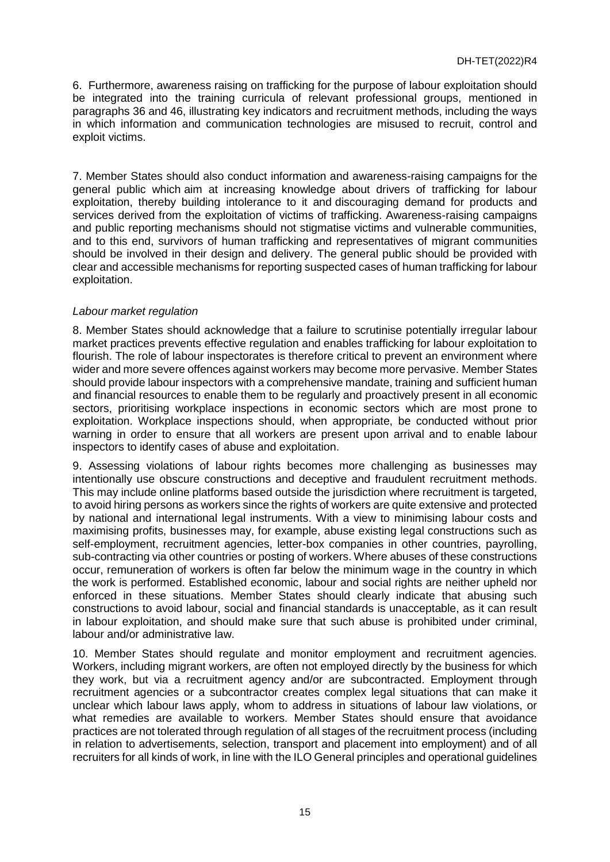6. Furthermore, awareness raising on trafficking for the purpose of labour exploitation should be integrated into the training curricula of relevant professional groups, mentioned in paragraphs 36 and 46, illustrating key indicators and recruitment methods, including the ways in which information and communication technologies are misused to recruit, control and exploit victims.

7. Member States should also conduct information and awareness-raising campaigns for the general public which aim at increasing knowledge about drivers of trafficking for labour exploitation, thereby building intolerance to it and discouraging demand for products and services derived from the exploitation of victims of trafficking. Awareness-raising campaigns and public reporting mechanisms should not stigmatise victims and vulnerable communities, and to this end, survivors of human trafficking and representatives of migrant communities should be involved in their design and delivery. The general public should be provided with clear and accessible mechanisms for reporting suspected cases of human trafficking for labour exploitation.

## *Labour market regulation*

8. Member States should acknowledge that a failure to scrutinise potentially irregular labour market practices prevents effective regulation and enables trafficking for labour exploitation to flourish. The role of labour inspectorates is therefore critical to prevent an environment where wider and more severe offences against workers may become more pervasive. Member States should provide labour inspectors with a comprehensive mandate, training and sufficient human and financial resources to enable them to be regularly and proactively present in all economic sectors, prioritising workplace inspections in economic sectors which are most prone to exploitation. Workplace inspections should, when appropriate, be conducted without prior warning in order to ensure that all workers are present upon arrival and to enable labour inspectors to identify cases of abuse and exploitation.

9. Assessing violations of labour rights becomes more challenging as businesses may intentionally use obscure constructions and deceptive and fraudulent recruitment methods. This may include online platforms based outside the jurisdiction where recruitment is targeted, to avoid hiring persons as workers since the rights of workers are quite extensive and protected by national and international legal instruments. With a view to minimising labour costs and maximising profits, businesses may, for example, abuse existing legal constructions such as self-employment, recruitment agencies, letter-box companies in other countries, payrolling, sub-contracting via other countries or posting of workers. Where abuses of these constructions occur, remuneration of workers is often far below the minimum wage in the country in which the work is performed. Established economic, labour and social rights are neither upheld nor enforced in these situations. Member States should clearly indicate that abusing such constructions to avoid labour, social and financial standards is unacceptable, as it can result in labour exploitation, and should make sure that such abuse is prohibited under criminal, labour and/or administrative law.

10. Member States should regulate and monitor employment and recruitment agencies. Workers, including migrant workers, are often not employed directly by the business for which they work, but via a recruitment agency and/or are subcontracted. Employment through recruitment agencies or a subcontractor creates complex legal situations that can make it unclear which labour laws apply, whom to address in situations of labour law violations, or what remedies are available to workers. Member States should ensure that avoidance practices are not tolerated through regulation of all stages of the recruitment process (including in relation to advertisements, selection, transport and placement into employment) and of all recruiters for all kinds of work, in line with the ILO General principles and operational guidelines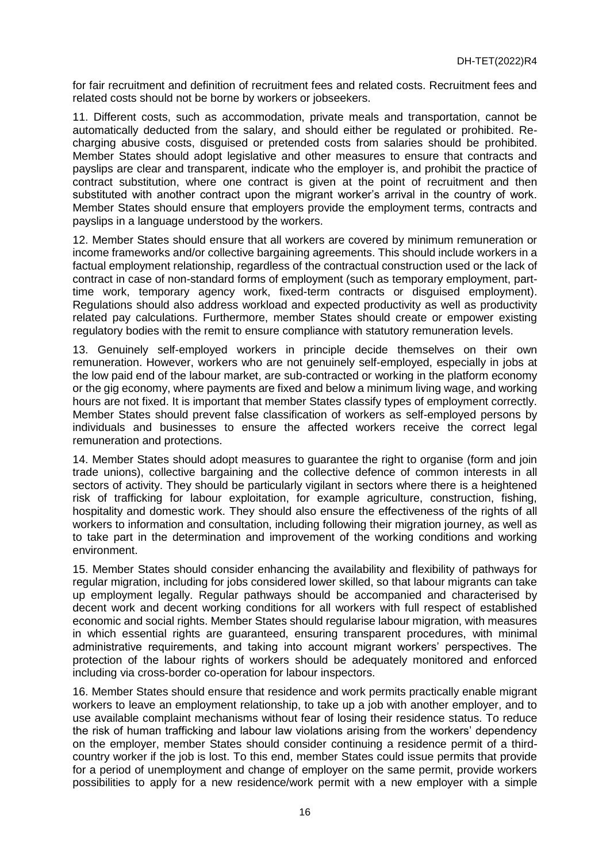for fair recruitment and definition of recruitment fees and related costs. Recruitment fees and related costs should not be borne by workers or jobseekers.

11. Different costs, such as accommodation, private meals and transportation, cannot be automatically deducted from the salary, and should either be regulated or prohibited. Recharging abusive costs, disguised or pretended costs from salaries should be prohibited. Member States should adopt legislative and other measures to ensure that contracts and payslips are clear and transparent, indicate who the employer is, and prohibit the practice of contract substitution, where one contract is given at the point of recruitment and then substituted with another contract upon the migrant worker's arrival in the country of work. Member States should ensure that employers provide the employment terms, contracts and payslips in a language understood by the workers.

12. Member States should ensure that all workers are covered by minimum remuneration or income frameworks and/or collective bargaining agreements. This should include workers in a factual employment relationship, regardless of the contractual construction used or the lack of contract in case of non-standard forms of employment (such as temporary employment, parttime work, temporary agency work, fixed-term contracts or disguised employment). Regulations should also address workload and expected productivity as well as productivity related pay calculations. Furthermore, member States should create or empower existing regulatory bodies with the remit to ensure compliance with statutory remuneration levels.

13. Genuinely self-employed workers in principle decide themselves on their own remuneration. However, workers who are not genuinely self-employed, especially in jobs at the low paid end of the labour market, are sub-contracted or working in the platform economy or the gig economy, where payments are fixed and below a minimum living wage, and working hours are not fixed. It is important that member States classify types of employment correctly. Member States should prevent false classification of workers as self-employed persons by individuals and businesses to ensure the affected workers receive the correct legal remuneration and protections.

14. Member States should adopt measures to guarantee the right to organise (form and join trade unions), collective bargaining and the collective defence of common interests in all sectors of activity. They should be particularly vigilant in sectors where there is a heightened risk of trafficking for labour exploitation, for example agriculture, construction, fishing, hospitality and domestic work. They should also ensure the effectiveness of the rights of all workers to information and consultation, including following their migration journey, as well as to take part in the determination and improvement of the working conditions and working environment.

15. Member States should consider enhancing the availability and flexibility of pathways for regular migration, including for jobs considered lower skilled, so that labour migrants can take up employment legally. Regular pathways should be accompanied and characterised by decent work and decent working conditions for all workers with full respect of established economic and social rights. Member States should regularise labour migration, with measures in which essential rights are guaranteed, ensuring transparent procedures, with minimal administrative requirements, and taking into account migrant workers' perspectives. The protection of the labour rights of workers should be adequately monitored and enforced including via cross-border co-operation for labour inspectors.

16. Member States should ensure that residence and work permits practically enable migrant workers to leave an employment relationship, to take up a job with another employer, and to use available complaint mechanisms without fear of losing their residence status. To reduce the risk of human trafficking and labour law violations arising from the workers' dependency on the employer, member States should consider continuing a residence permit of a thirdcountry worker if the job is lost. To this end, member States could issue permits that provide for a period of unemployment and change of employer on the same permit, provide workers possibilities to apply for a new residence/work permit with a new employer with a simple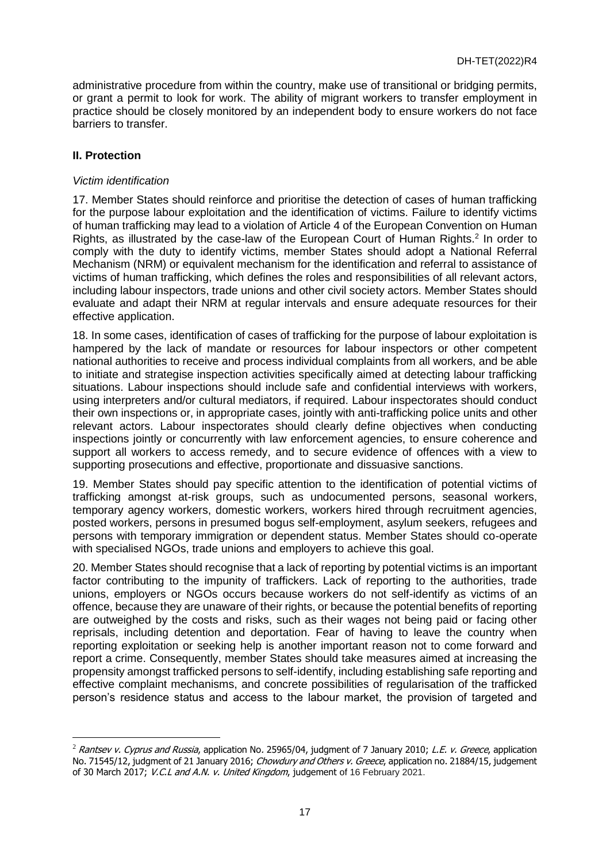administrative procedure from within the country, make use of transitional or bridging permits, or grant a permit to look for work. The ability of migrant workers to transfer employment in practice should be closely monitored by an independent body to ensure workers do not face barriers to transfer.

# **II. Protection**

 $\overline{a}$ 

## *Victim identification*

17. Member States should reinforce and prioritise the detection of cases of human trafficking for the purpose labour exploitation and the identification of victims. Failure to identify victims of human trafficking may lead to a violation of Article 4 of the European Convention on Human Rights, as illustrated by the case-law of the European Court of Human Rights.<sup>2</sup> In order to comply with the duty to identify victims, member States should adopt a National Referral Mechanism (NRM) or equivalent mechanism for the identification and referral to assistance of victims of human trafficking, which defines the roles and responsibilities of all relevant actors, including labour inspectors, trade unions and other civil society actors. Member States should evaluate and adapt their NRM at regular intervals and ensure adequate resources for their effective application.

18. In some cases, identification of cases of trafficking for the purpose of labour exploitation is hampered by the lack of mandate or resources for labour inspectors or other competent national authorities to receive and process individual complaints from all workers, and be able to initiate and strategise inspection activities specifically aimed at detecting labour trafficking situations. Labour inspections should include safe and confidential interviews with workers, using interpreters and/or cultural mediators, if required. Labour inspectorates should conduct their own inspections or, in appropriate cases, jointly with anti-trafficking police units and other relevant actors. Labour inspectorates should clearly define objectives when conducting inspections jointly or concurrently with law enforcement agencies, to ensure coherence and support all workers to access remedy, and to secure evidence of offences with a view to supporting prosecutions and effective, proportionate and dissuasive sanctions.

19. Member States should pay specific attention to the identification of potential victims of trafficking amongst at-risk groups, such as undocumented persons, seasonal workers, temporary agency workers, domestic workers, workers hired through recruitment agencies, posted workers, persons in presumed bogus self-employment, asylum seekers, refugees and persons with temporary immigration or dependent status. Member States should co-operate with specialised NGOs, trade unions and employers to achieve this goal.

20. Member States should recognise that a lack of reporting by potential victims is an important factor contributing to the impunity of traffickers. Lack of reporting to the authorities, trade unions, employers or NGOs occurs because workers do not self-identify as victims of an offence, because they are unaware of their rights, or because the potential benefits of reporting are outweighed by the costs and risks, such as their wages not being paid or facing other reprisals, including detention and deportation. Fear of having to leave the country when reporting exploitation or seeking help is another important reason not to come forward and report a crime. Consequently, member States should take measures aimed at increasing the propensity amongst trafficked persons to self-identify, including establishing safe reporting and effective complaint mechanisms, and concrete possibilities of regularisation of the trafficked person's residence status and access to the labour market, the provision of targeted and

<sup>&</sup>lt;sup>2</sup> Rantsev v. Cyprus and Russia, application No. 25965/04, judgment of 7 January 2010; L.E. v. Greece, application No. 71545/12, judgment of 21 January 2016; Chowdury and Others v. Greece, application no. 21884/15, judgement of 30 March 2017; V.C.L and A.N. v. United Kingdom, judgement of 16 February 2021.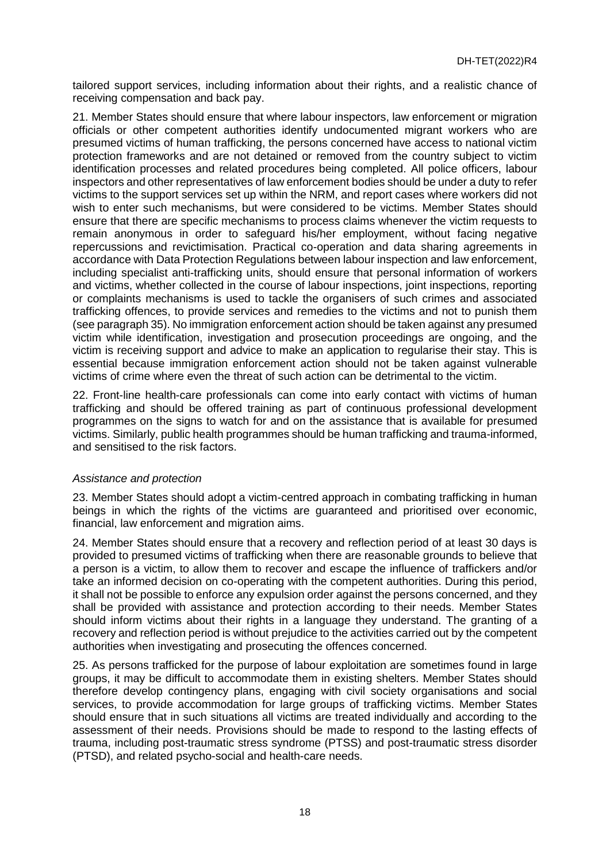tailored support services, including information about their rights, and a realistic chance of receiving compensation and back pay.

21. Member States should ensure that where labour inspectors, law enforcement or migration officials or other competent authorities identify undocumented migrant workers who are presumed victims of human trafficking, the persons concerned have access to national victim protection frameworks and are not detained or removed from the country subject to victim identification processes and related procedures being completed. All police officers, labour inspectors and other representatives of law enforcement bodies should be under a duty to refer victims to the support services set up within the NRM, and report cases where workers did not wish to enter such mechanisms, but were considered to be victims. Member States should ensure that there are specific mechanisms to process claims whenever the victim requests to remain anonymous in order to safeguard his/her employment, without facing negative repercussions and revictimisation. Practical co-operation and data sharing agreements in accordance with Data Protection Regulations between labour inspection and law enforcement, including specialist anti-trafficking units, should ensure that personal information of workers and victims, whether collected in the course of labour inspections, joint inspections, reporting or complaints mechanisms is used to tackle the organisers of such crimes and associated trafficking offences, to provide services and remedies to the victims and not to punish them (see paragraph 35). No immigration enforcement action should be taken against any presumed victim while identification, investigation and prosecution proceedings are ongoing, and the victim is receiving support and advice to make an application to regularise their stay. This is essential because immigration enforcement action should not be taken against vulnerable victims of crime where even the threat of such action can be detrimental to the victim.

22. Front-line health-care professionals can come into early contact with victims of human trafficking and should be offered training as part of continuous professional development programmes on the signs to watch for and on the assistance that is available for presumed victims. Similarly, public health programmes should be human trafficking and trauma-informed, and sensitised to the risk factors.

# *Assistance and protection*

23. Member States should adopt a victim-centred approach in combating trafficking in human beings in which the rights of the victims are guaranteed and prioritised over economic. financial, law enforcement and migration aims.

24. Member States should ensure that a recovery and reflection period of at least 30 days is provided to presumed victims of trafficking when there are reasonable grounds to believe that a person is a victim, to allow them to recover and escape the influence of traffickers and/or take an informed decision on co-operating with the competent authorities. During this period, it shall not be possible to enforce any expulsion order against the persons concerned, and they shall be provided with assistance and protection according to their needs. Member States should inform victims about their rights in a language they understand. The granting of a recovery and reflection period is without prejudice to the activities carried out by the competent authorities when investigating and prosecuting the offences concerned.

25. As persons trafficked for the purpose of labour exploitation are sometimes found in large groups, it may be difficult to accommodate them in existing shelters. Member States should therefore develop contingency plans, engaging with civil society organisations and social services, to provide accommodation for large groups of trafficking victims. Member States should ensure that in such situations all victims are treated individually and according to the assessment of their needs. Provisions should be made to respond to the lasting effects of trauma, including post-traumatic stress syndrome (PTSS) and post-traumatic stress disorder (PTSD), and related psycho-social and health-care needs.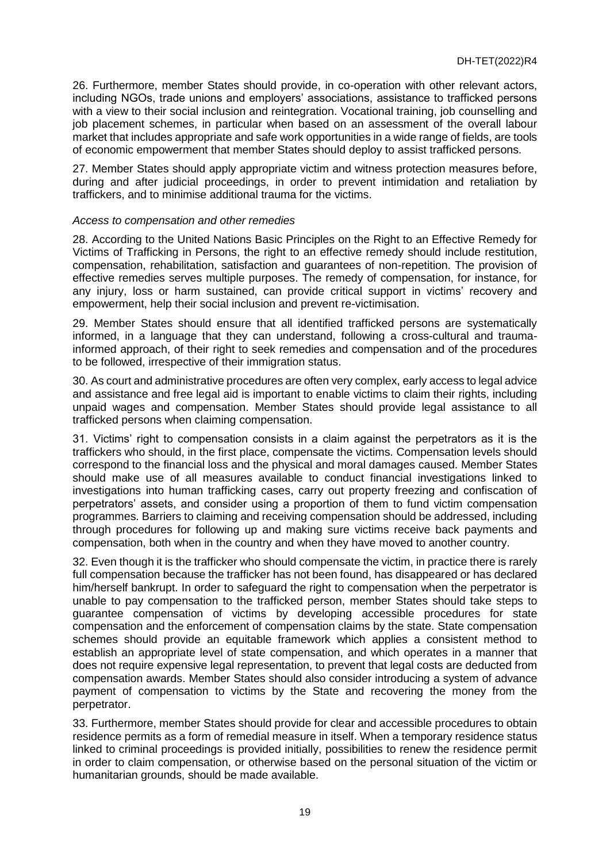26. Furthermore, member States should provide, in co-operation with other relevant actors, including NGOs, trade unions and employers' associations, assistance to trafficked persons with a view to their social inclusion and reintegration. Vocational training, job counselling and job placement schemes, in particular when based on an assessment of the overall labour market that includes appropriate and safe work opportunities in a wide range of fields, are tools of economic empowerment that member States should deploy to assist trafficked persons.

27. Member States should apply appropriate victim and witness protection measures before, during and after judicial proceedings, in order to prevent intimidation and retaliation by traffickers, and to minimise additional trauma for the victims.

#### *Access to compensation and other remedies*

28. According to the United Nations Basic Principles on the Right to an Effective Remedy for Victims of Trafficking in Persons, the right to an effective remedy should include restitution, compensation, rehabilitation, satisfaction and guarantees of non-repetition. The provision of effective remedies serves multiple purposes. The remedy of compensation, for instance, for any injury, loss or harm sustained, can provide critical support in victims' recovery and empowerment, help their social inclusion and prevent re-victimisation.

29. Member States should ensure that all identified trafficked persons are systematically informed, in a language that they can understand, following a cross-cultural and traumainformed approach, of their right to seek remedies and compensation and of the procedures to be followed, irrespective of their immigration status.

30. As court and administrative procedures are often very complex, early access to legal advice and assistance and free legal aid is important to enable victims to claim their rights, including unpaid wages and compensation. Member States should provide legal assistance to all trafficked persons when claiming compensation.

31. Victims' right to compensation consists in a claim against the perpetrators as it is the traffickers who should, in the first place, compensate the victims. Compensation levels should correspond to the financial loss and the physical and moral damages caused. Member States should make use of all measures available to conduct financial investigations linked to investigations into human trafficking cases, carry out property freezing and confiscation of perpetrators' assets, and consider using a proportion of them to fund victim compensation programmes. Barriers to claiming and receiving compensation should be addressed, including through procedures for following up and making sure victims receive back payments and compensation, both when in the country and when they have moved to another country.

32. Even though it is the trafficker who should compensate the victim, in practice there is rarely full compensation because the trafficker has not been found, has disappeared or has declared him/herself bankrupt. In order to safeguard the right to compensation when the perpetrator is unable to pay compensation to the trafficked person, member States should take steps to guarantee compensation of victims by developing accessible procedures for state compensation and the enforcement of compensation claims by the state. State compensation schemes should provide an equitable framework which applies a consistent method to establish an appropriate level of state compensation, and which operates in a manner that does not require expensive legal representation, to prevent that legal costs are deducted from compensation awards. Member States should also consider introducing a system of advance payment of compensation to victims by the State and recovering the money from the perpetrator.

33. Furthermore, member States should provide for clear and accessible procedures to obtain residence permits as a form of remedial measure in itself. When a temporary residence status linked to criminal proceedings is provided initially, possibilities to renew the residence permit in order to claim compensation, or otherwise based on the personal situation of the victim or humanitarian grounds, should be made available.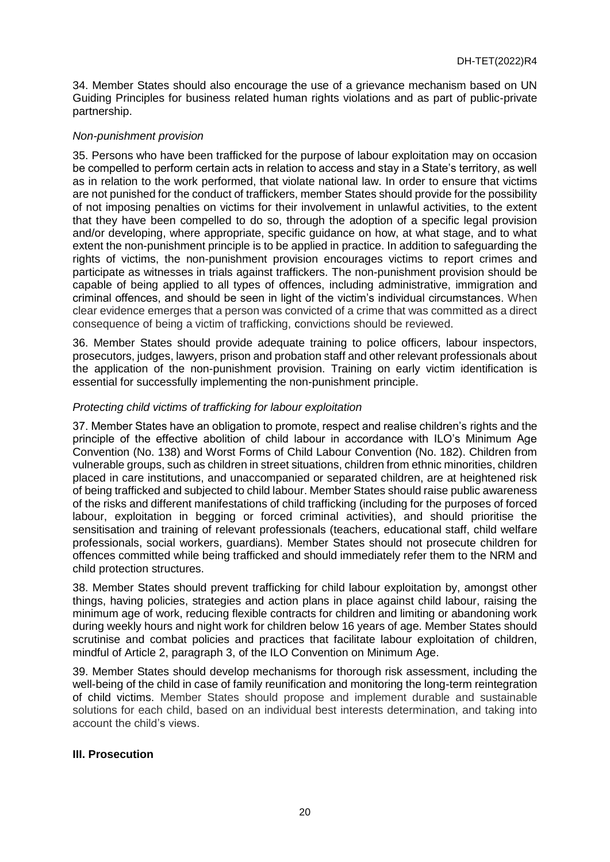34. Member States should also encourage the use of a grievance mechanism based on UN Guiding Principles for business related human rights violations and as part of public-private partnership.

## *Non-punishment provision*

35. Persons who have been trafficked for the purpose of labour exploitation may on occasion be compelled to perform certain acts in relation to access and stay in a State's territory, as well as in relation to the work performed, that violate national law. In order to ensure that victims are not punished for the conduct of traffickers, member States should provide for the possibility of not imposing penalties on victims for their involvement in unlawful activities, to the extent that they have been compelled to do so, through the adoption of a specific legal provision and/or developing, where appropriate, specific guidance on how, at what stage, and to what extent the non-punishment principle is to be applied in practice. In addition to safeguarding the rights of victims, the non-punishment provision encourages victims to report crimes and participate as witnesses in trials against traffickers. The non-punishment provision should be capable of being applied to all types of offences, including administrative, immigration and criminal offences, and should be seen in light of the victim's individual circumstances. When clear evidence emerges that a person was convicted of a crime that was committed as a direct consequence of being a victim of trafficking, convictions should be reviewed.

36. Member States should provide adequate training to police officers, labour inspectors, prosecutors, judges, lawyers, prison and probation staff and other relevant professionals about the application of the non-punishment provision. Training on early victim identification is essential for successfully implementing the non-punishment principle.

## *Protecting child victims of trafficking for labour exploitation*

37. Member States have an obligation to promote, respect and realise children's rights and the principle of the effective abolition of child labour in accordance with ILO's Minimum Age Convention (No. 138) and Worst Forms of Child Labour Convention (No. 182). Children from vulnerable groups, such as children in street situations, children from ethnic minorities, children placed in care institutions, and unaccompanied or separated children, are at heightened risk of being trafficked and subjected to child labour. Member States should raise public awareness of the risks and different manifestations of child trafficking (including for the purposes of forced labour, exploitation in begging or forced criminal activities), and should prioritise the sensitisation and training of relevant professionals (teachers, educational staff, child welfare professionals, social workers, guardians). Member States should not prosecute children for offences committed while being trafficked and should immediately refer them to the NRM and child protection structures.

38. Member States should prevent trafficking for child labour exploitation by, amongst other things, having policies, strategies and action plans in place against child labour, raising the minimum age of work, reducing flexible contracts for children and limiting or abandoning work during weekly hours and night work for children below 16 years of age. Member States should scrutinise and combat policies and practices that facilitate labour exploitation of children, mindful of Article 2, paragraph 3, of the ILO Convention on Minimum Age.

39. Member States should develop mechanisms for thorough risk assessment, including the well-being of the child in case of family reunification and monitoring the long-term reintegration of child victims. Member States should propose and implement durable and sustainable solutions for each child, based on an individual best interests determination, and taking into account the child's views.

# **III. Prosecution**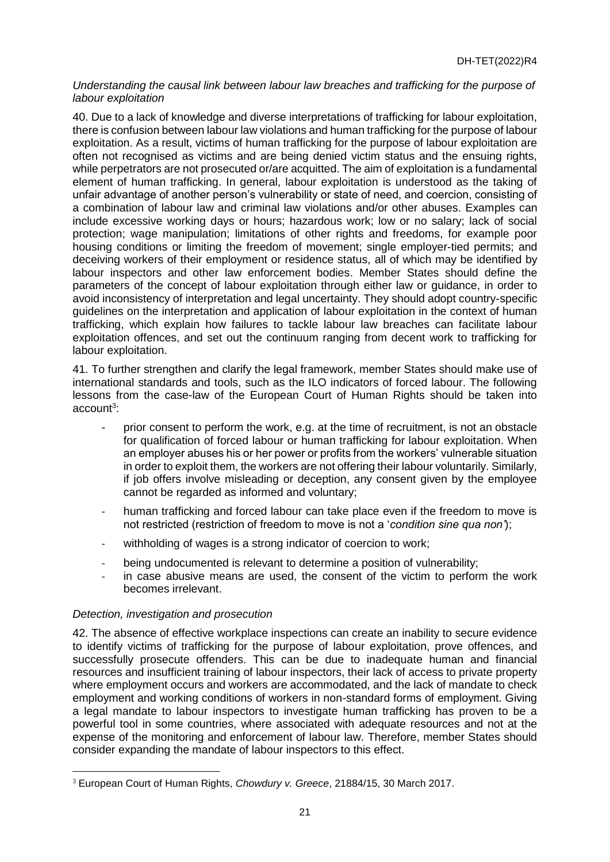## *Understanding the causal link between labour law breaches and trafficking for the purpose of labour exploitation*

40. Due to a lack of knowledge and diverse interpretations of trafficking for labour exploitation, there is confusion between labour law violations and human trafficking for the purpose of labour exploitation. As a result, victims of human trafficking for the purpose of labour exploitation are often not recognised as victims and are being denied victim status and the ensuing rights, while perpetrators are not prosecuted or/are acquitted. The aim of exploitation is a fundamental element of human trafficking. In general, labour exploitation is understood as the taking of unfair advantage of another person's vulnerability or state of need, and coercion, consisting of a combination of labour law and criminal law violations and/or other abuses. Examples can include excessive working days or hours; hazardous work; low or no salary; lack of social protection; wage manipulation; limitations of other rights and freedoms, for example poor housing conditions or limiting the freedom of movement; single employer-tied permits; and deceiving workers of their employment or residence status, all of which may be identified by labour inspectors and other law enforcement bodies. Member States should define the parameters of the concept of labour exploitation through either law or guidance, in order to avoid inconsistency of interpretation and legal uncertainty. They should adopt country-specific guidelines on the interpretation and application of labour exploitation in the context of human trafficking, which explain how failures to tackle labour law breaches can facilitate labour exploitation offences, and set out the continuum ranging from decent work to trafficking for labour exploitation.

41. To further strengthen and clarify the legal framework, member States should make use of international standards and tools, such as the ILO indicators of forced labour. The following lessons from the case-law of the European Court of Human Rights should be taken into account<sup>3</sup>:

- prior consent to perform the work, e.g. at the time of recruitment, is not an obstacle for qualification of forced labour or human trafficking for labour exploitation. When an employer abuses his or her power or profits from the workers' vulnerable situation in order to exploit them, the workers are not offering their labour voluntarily. Similarly, if job offers involve misleading or deception, any consent given by the employee cannot be regarded as informed and voluntary;
- human trafficking and forced labour can take place even if the freedom to move is not restricted (restriction of freedom to move is not a '*condition sine qua non'*);
- withholding of wages is a strong indicator of coercion to work;
- being undocumented is relevant to determine a position of vulnerability;
- in case abusive means are used, the consent of the victim to perform the work becomes irrelevant.

# *Detection, investigation and prosecution*

42. The absence of effective workplace inspections can create an inability to secure evidence to identify victims of trafficking for the purpose of labour exploitation, prove offences, and successfully prosecute offenders. This can be due to inadequate human and financial resources and insufficient training of labour inspectors, their lack of access to private property where employment occurs and workers are accommodated, and the lack of mandate to check employment and working conditions of workers in non-standard forms of employment. Giving a legal mandate to labour inspectors to investigate human trafficking has proven to be a powerful tool in some countries, where associated with adequate resources and not at the expense of the monitoring and enforcement of labour law. Therefore, member States should consider expanding the mandate of labour inspectors to this effect.

 $\overline{a}$ <sup>3</sup> European Court of Human Rights, *Chowdury v. Greece*, 21884/15, 30 March 2017.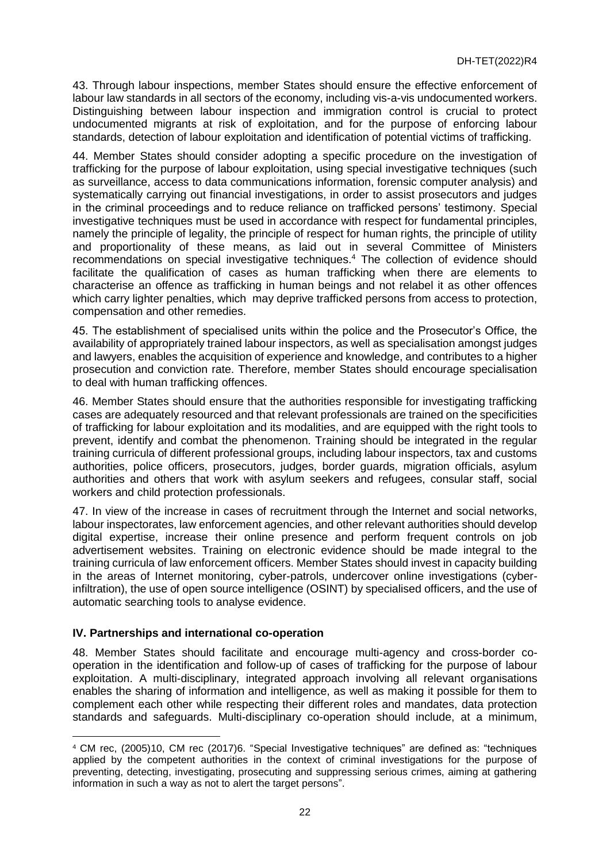43. Through labour inspections, member States should ensure the effective enforcement of labour law standards in all sectors of the economy, including vis-a-vis undocumented workers. Distinguishing between labour inspection and immigration control is crucial to protect undocumented migrants at risk of exploitation, and for the purpose of enforcing labour standards, detection of labour exploitation and identification of potential victims of trafficking.

44. Member States should consider adopting a specific procedure on the investigation of trafficking for the purpose of labour exploitation, using special investigative techniques (such as surveillance, access to data communications information, forensic computer analysis) and systematically carrying out financial investigations, in order to assist prosecutors and judges in the criminal proceedings and to reduce reliance on trafficked persons' testimony. Special investigative techniques must be used in accordance with respect for fundamental principles, namely the principle of legality, the principle of respect for human rights, the principle of utility and proportionality of these means, as laid out in several Committee of Ministers recommendations on special investigative techniques.<sup>4</sup> The collection of evidence should facilitate the qualification of cases as human trafficking when there are elements to characterise an offence as trafficking in human beings and not relabel it as other offences which carry lighter penalties, which may deprive trafficked persons from access to protection, compensation and other remedies.

45. The establishment of specialised units within the police and the Prosecutor's Office, the availability of appropriately trained labour inspectors, as well as specialisation amongst judges and lawyers, enables the acquisition of experience and knowledge, and contributes to a higher prosecution and conviction rate. Therefore, member States should encourage specialisation to deal with human trafficking offences.

46. Member States should ensure that the authorities responsible for investigating trafficking cases are adequately resourced and that relevant professionals are trained on the specificities of trafficking for labour exploitation and its modalities, and are equipped with the right tools to prevent, identify and combat the phenomenon. Training should be integrated in the regular training curricula of different professional groups, including labour inspectors, tax and customs authorities, police officers, prosecutors, judges, border guards, migration officials, asylum authorities and others that work with asylum seekers and refugees, consular staff, social workers and child protection professionals.

47. In view of the increase in cases of recruitment through the Internet and social networks, labour inspectorates, law enforcement agencies, and other relevant authorities should develop digital expertise, increase their online presence and perform frequent controls on job advertisement websites. Training on electronic evidence should be made integral to the training curricula of law enforcement officers. Member States should invest in capacity building in the areas of Internet monitoring, cyber-patrols, undercover online investigations (cyberinfiltration), the use of open source intelligence (OSINT) by specialised officers, and the use of automatic searching tools to analyse evidence.

# **IV. Partnerships and international co-operation**

 $\overline{a}$ 

48. Member States should facilitate and encourage multi-agency and cross-border cooperation in the identification and follow-up of cases of trafficking for the purpose of labour exploitation. A multi-disciplinary, integrated approach involving all relevant organisations enables the sharing of information and intelligence, as well as making it possible for them to complement each other while respecting their different roles and mandates, data protection standards and safeguards. Multi-disciplinary co-operation should include, at a minimum,

<sup>4</sup> CM rec, (2005)10, CM rec (2017)6. "Special Investigative techniques" are defined as: "techniques applied by the competent authorities in the context of criminal investigations for the purpose of preventing, detecting, investigating, prosecuting and suppressing serious crimes, aiming at gathering information in such a way as not to alert the target persons".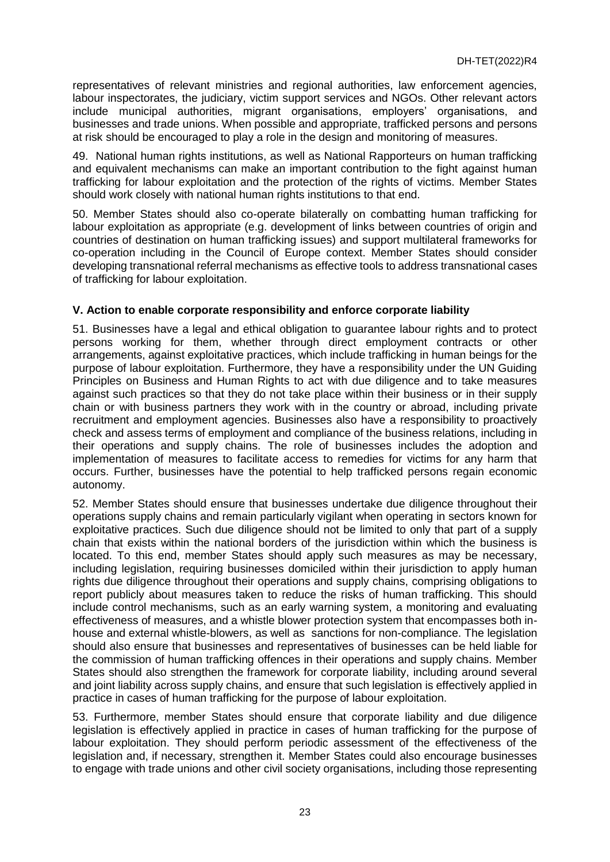representatives of relevant ministries and regional authorities, law enforcement agencies, labour inspectorates, the judiciary, victim support services and NGOs. Other relevant actors include municipal authorities, migrant organisations, employers' organisations, and businesses and trade unions. When possible and appropriate, trafficked persons and persons at risk should be encouraged to play a role in the design and monitoring of measures.

49. National human rights institutions, as well as National Rapporteurs on human trafficking and equivalent mechanisms can make an important contribution to the fight against human trafficking for labour exploitation and the protection of the rights of victims. Member States should work closely with national human rights institutions to that end.

50. Member States should also co-operate bilaterally on combatting human trafficking for labour exploitation as appropriate (e.g. development of links between countries of origin and countries of destination on human trafficking issues) and support multilateral frameworks for co-operation including in the Council of Europe context. Member States should consider developing transnational referral mechanisms as effective tools to address transnational cases of trafficking for labour exploitation.

# **V. Action to enable corporate responsibility and enforce corporate liability**

51. Businesses have a legal and ethical obligation to guarantee labour rights and to protect persons working for them, whether through direct employment contracts or other arrangements, against exploitative practices, which include trafficking in human beings for the purpose of labour exploitation. Furthermore, they have a responsibility under the UN Guiding Principles on Business and Human Rights to act with due diligence and to take measures against such practices so that they do not take place within their business or in their supply chain or with business partners they work with in the country or abroad, including private recruitment and employment agencies. Businesses also have a responsibility to proactively check and assess terms of employment and compliance of the business relations, including in their operations and supply chains. The role of businesses includes the adoption and implementation of measures to facilitate access to remedies for victims for any harm that occurs. Further, businesses have the potential to help trafficked persons regain economic autonomy.

52. Member States should ensure that businesses undertake due diligence throughout their operations supply chains and remain particularly vigilant when operating in sectors known for exploitative practices. Such due diligence should not be limited to only that part of a supply chain that exists within the national borders of the jurisdiction within which the business is located. To this end, member States should apply such measures as may be necessary, including legislation, requiring businesses domiciled within their jurisdiction to apply human rights due diligence throughout their operations and supply chains, comprising obligations to report publicly about measures taken to reduce the risks of human trafficking. This should include control mechanisms, such as an early warning system, a monitoring and evaluating effectiveness of measures, and a whistle blower protection system that encompasses both inhouse and external whistle-blowers, as well as sanctions for non-compliance. The legislation should also ensure that businesses and representatives of businesses can be held liable for the commission of human trafficking offences in their operations and supply chains. Member States should also strengthen the framework for corporate liability, including around several and joint liability across supply chains, and ensure that such legislation is effectively applied in practice in cases of human trafficking for the purpose of labour exploitation.

53. Furthermore, member States should ensure that corporate liability and due diligence legislation is effectively applied in practice in cases of human trafficking for the purpose of labour exploitation. They should perform periodic assessment of the effectiveness of the legislation and, if necessary, strengthen it. Member States could also encourage businesses to engage with trade unions and other civil society organisations, including those representing